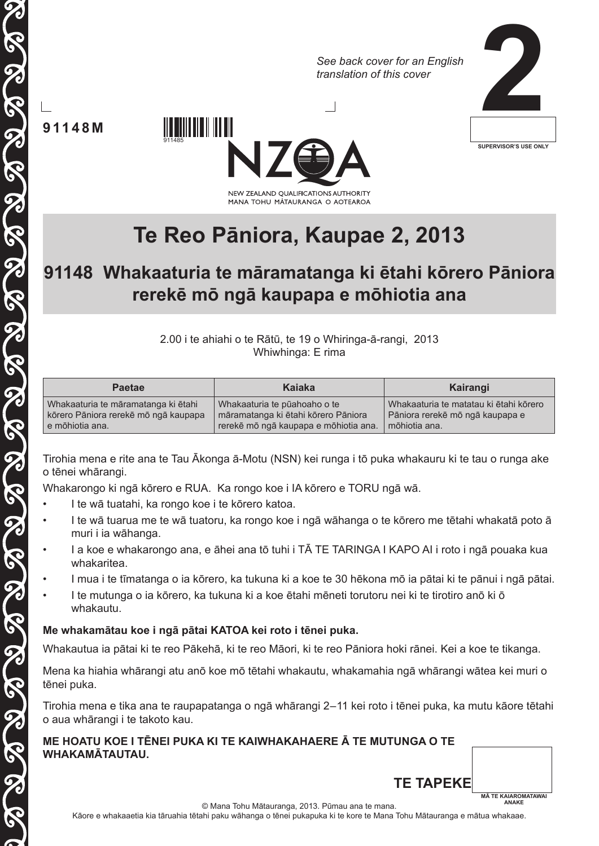*See back cover for an English translation of this cover*



**91148M**

SASASASASASASASASASASASAS

5



# **Te Reo Pāniora, Kaupae 2, 2013**

# **91148 Whakaaturia te māramatanga ki ētahi kōrero Pāniora rerekē mō ngā kaupapa e mōhiotia ana**

2.00 i te ahiahi o te Rātū, te 19 o Whiringa-ā-rangi, 2013 Whiwhinga: E rima

| <b>Paetae</b>                        | Kaiaka                                | Kairangi                               |
|--------------------------------------|---------------------------------------|----------------------------------------|
| Whakaaturia te māramatanga ki ētahi  | Whakaaturia te pūahoaho o te          | Whakaaturia te matatau ki ētahi kōrero |
| kōrero Pāniora rerekē mō ngā kaupapa | māramatanga ki ētahi kōrero Pāniora   | Pāniora rerekē mō ngā kaupapa e        |
| e mōhiotia ana.                      | rerekē mō ngā kaupapa e mōhiotia ana. | mõhiotia ana.                          |

Tirohia mena e rite ana te Tau Ākonga ā-Motu (NSN) kei runga i tō puka whakauru ki te tau o runga ake o tēnei whārangi.

Whakarongo ki ngā kōrero e RUA. Ka rongo koe i IA kōrero e TORU ngā wā.

• I te wā tuatahi, ka rongo koe i te kōrero katoa.

911485

- I te wā tuarua me te wā tuatoru, ka rongo koe i ngā wāhanga o te kōrero me tētahi whakatā poto ā muri i ia wāhanga.
- I a koe e whakarongo ana, e āhei ana tō tuhi i TĀ TE TARINGA I KAPO AI i roto i ngā pouaka kua whakaritea.
- I mua i te tīmatanga o ia kōrero, ka tukuna ki a koe te 30 hēkona mō ia pātai ki te pānui i ngā pātai.
- I te mutunga o ia kōrero, ka tukuna ki a koe ētahi mēneti torutoru nei ki te tirotiro anō ki ō whakautu.

### **Me whakamātau koe i ngā pātai KATOA kei roto i tēnei puka.**

Whakautua ia pātai ki te reo Pākehā, ki te reo Māori, ki te reo Pāniora hoki rānei. Kei a koe te tikanga.

Mena ka hiahia whārangi atu anō koe mō tētahi whakautu, whakamahia ngā whārangi wātea kei muri o tēnei puka.

Tirohia mena e tika ana te raupapatanga o ngā whārangi 2–11 kei roto i tēnei puka, ka mutu kāore tētahi o aua whārangi i te takoto kau.

#### **ME HOATU KOE I TĒNEI PUKA KI TE KAIWHAKAHAERE Ā TE MUTUNGA O TE WHAKAMĀTAUTAU.**



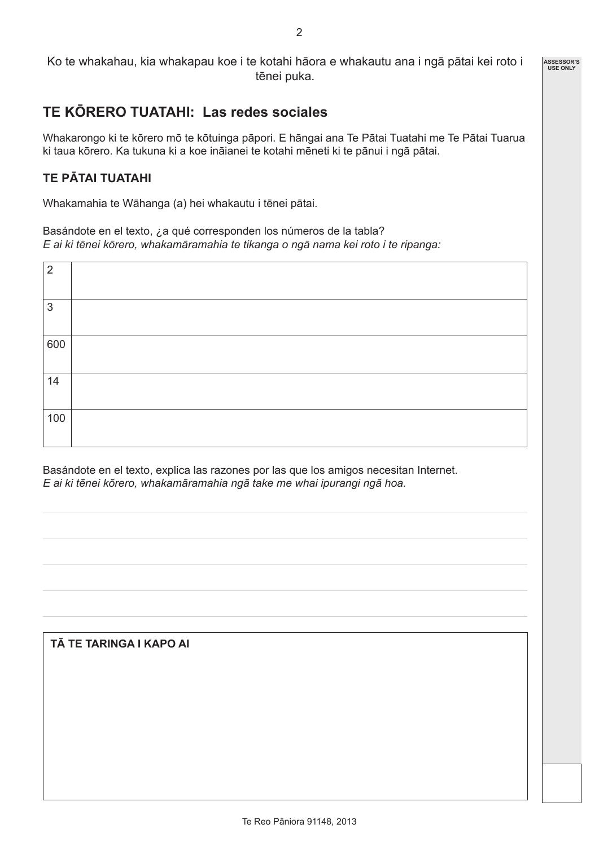#### Ko te whakahau, kia whakapau koe i te kotahi hāora e whakautu ana i ngā pātai kei roto i tēnei puka.

# **TE KŌRERO TUATAHI: Las redes sociales**

Whakarongo ki te kōrero mō te kōtuinga pāpori. E hāngai ana Te Pātai Tuatahi me Te Pātai Tuarua ki taua kōrero. Ka tukuna ki a koe ināianei te kotahi mēneti ki te pānui i ngā pātai.

## **TE PĀTAI TUATAHI**

Whakamahia te Wāhanga (a) hei whakautu i tēnei pātai.

Basándote en el texto, ¿a qué corresponden los números de la tabla? *E ai ki tēnei kōrero, whakamāramahia te tikanga o ngā nama kei roto i te ripanga:*

| $\overline{2}$ |  |
|----------------|--|
|                |  |
| $\mathfrak{S}$ |  |
|                |  |
| 600            |  |
|                |  |
| 14             |  |
|                |  |
| 100            |  |
|                |  |

Basándote en el texto, explica las razones por las que los amigos necesitan Internet. *E ai ki tēnei kōrero, whakamāramahia ngā take me whai ipurangi ngā hoa.*

#### **TĀ TE TARINGA I KAPO AI**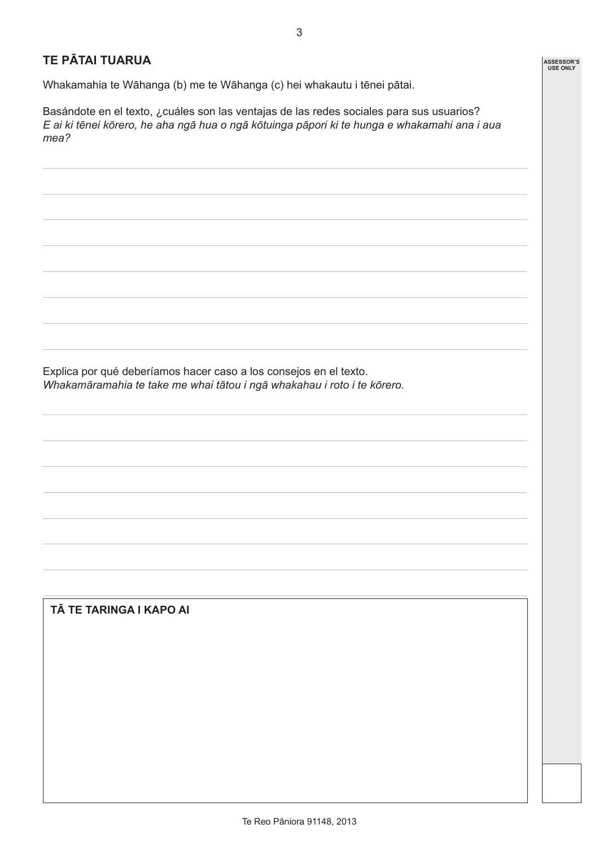### **TE PĀTAI TUARUA**

Whakamahia te Wāhanga (b) me te Wāhanga (c) hei whakautu i tēnei pātai.

Basándote en el texto, ¿cuáles son las ventajas de las redes sociales para sus usuarios? *E ai ki tēnei kōrero, he aha ngā hua o ngā kōtuinga pāpori ki te hunga e whakamahi ana i aua mea?*

Explica por qué deberíamos hacer caso a los consejos en el texto. *Whakamāramahia te take me whai tātou i ngā whakahau i roto i te kōrero.*

**TĀ TE TARINGA I KAPO AI**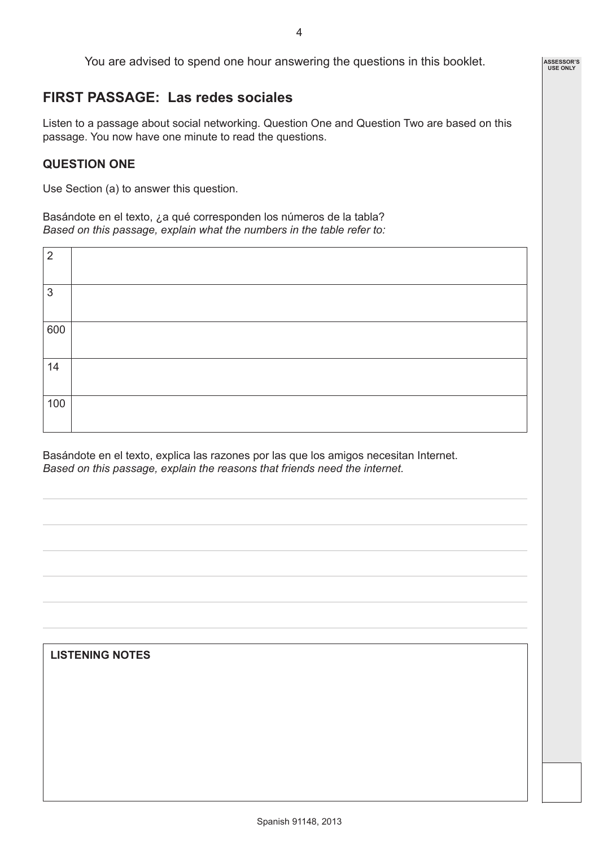$\overline{A}$ 

**ASSESSOR'S USE ONLY**

You are advised to spend one hour answering the questions in this booklet.

# **FIRST PASSAGE: Las redes sociales**

Listen to a passage about social networking. Question One and Question Two are based on this passage. You now have one minute to read the questions.

### **QUESTION ONE**

Use Section (a) to answer this question.

Basándote en el texto, ¿a qué corresponden los números de la tabla? *Based on this passage, explain what the numbers in the table refer to:*

Basándote en el texto, explica las razones por las que los amigos necesitan Internet. *Based on this passage, explain the reasons that friends need the internet.* 

| <b>LISTENING NOTES</b> |  |
|------------------------|--|
|                        |  |
|                        |  |
|                        |  |
|                        |  |
|                        |  |
|                        |  |
|                        |  |
|                        |  |
|                        |  |
|                        |  |
|                        |  |
|                        |  |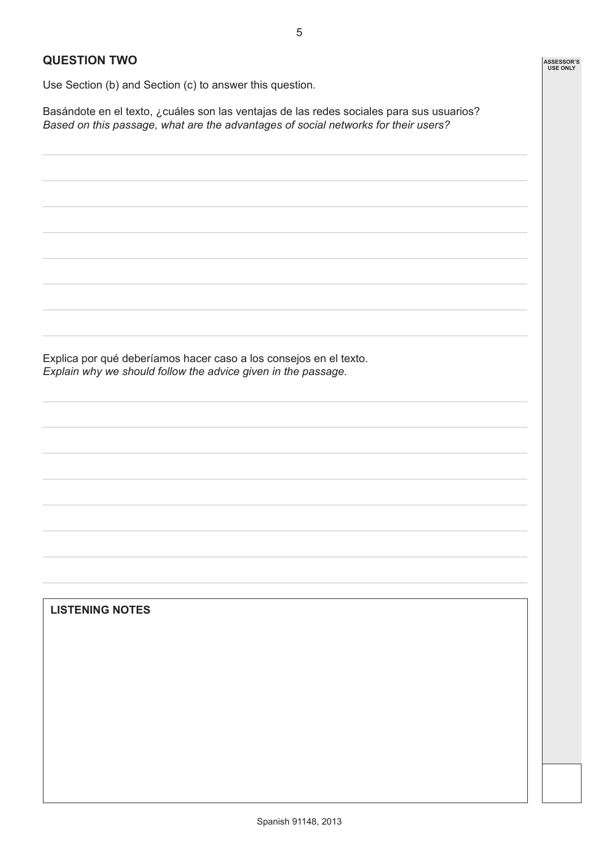**ASSESSOR'S USE ONLY**

#### **QUESTION TWO**

Use Section (b) and Section (c) to answer this question.

Basándote en el texto, ¿cuáles son las ventajas de las redes sociales para sus usuarios? *Based on this passage, what are the advantages of social networks for their users?*

Explica por qué deberíamos hacer caso a los consejos en el texto. *Explain why we should follow the advice given in the passage.*

**LISTENING NOTES**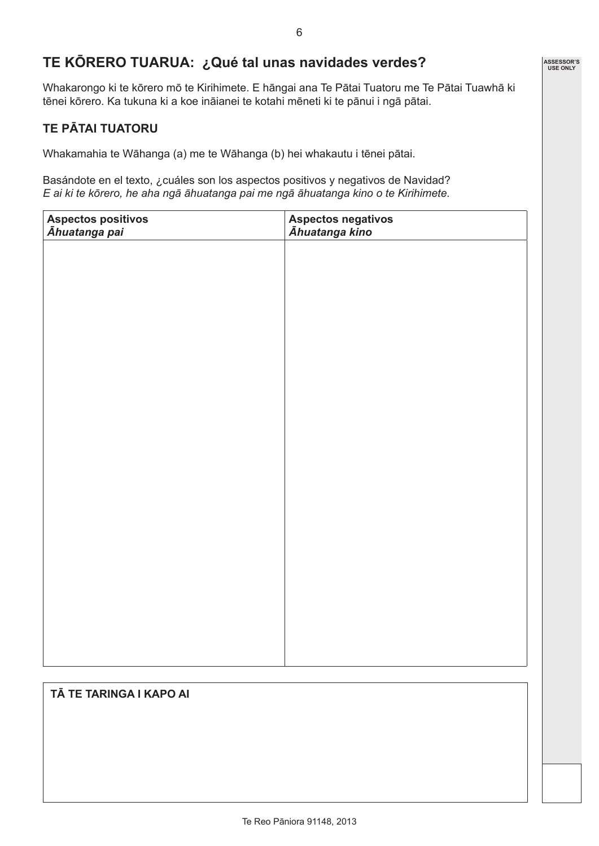# **TE KŌRERO TUARUA: ¿Qué tal unas navidades verdes?**

Whakarongo ki te kōrero mō te Kirihimete. E hāngai ana Te Pātai Tuatoru me Te Pātai Tuawhā ki tēnei kōrero. Ka tukuna ki a koe ināianei te kotahi mēneti ki te pānui i ngā pātai.

## **TE PĀTAI TUATORU**

Whakamahia te Wāhanga (a) me te Wāhanga (b) hei whakautu i tēnei pātai.

Basándote en el texto, ¿cuáles son los aspectos positivos y negativos de Navidad? *E ai ki te kōrero, he aha ngā āhuatanga pai me ngā āhuatanga kino o te Kirihimete.*

| Aspectos positivos<br>Āhuatanga pai | Aspectos negativos<br>Āhuatanga kino |
|-------------------------------------|--------------------------------------|
|                                     |                                      |
|                                     |                                      |
|                                     |                                      |
|                                     |                                      |
|                                     |                                      |
|                                     |                                      |
|                                     |                                      |
|                                     |                                      |
|                                     |                                      |
|                                     |                                      |
|                                     |                                      |
|                                     |                                      |
|                                     |                                      |
|                                     |                                      |

#### **TĀ TE TARINGA I KAPO AI**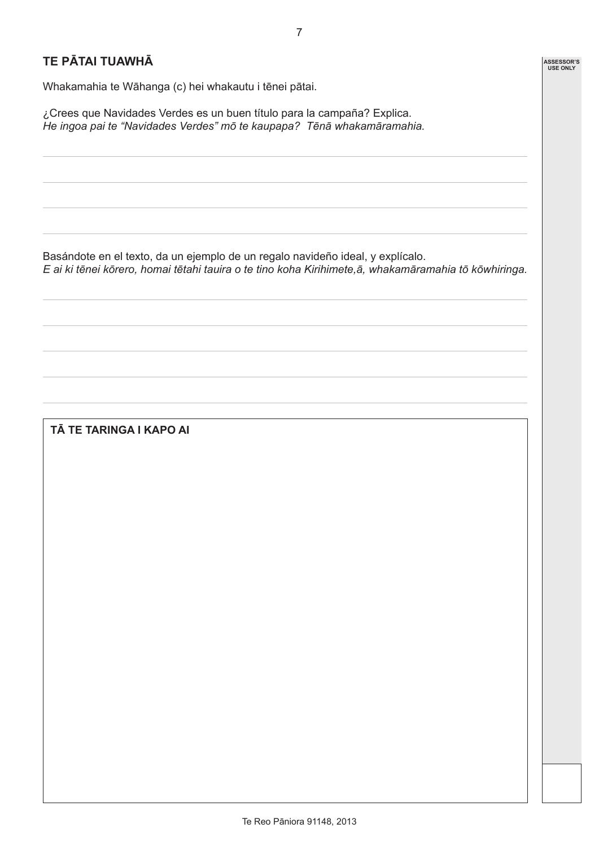**ASSESSOR'S USE ONLY**

# **TE PĀTAI TUAWHĀ**

Whakamahia te Wāhanga (c) hei whakautu i tēnei pātai.

¿Crees que Navidades Verdes es un buen título para la campaña? Explica. *He ingoa pai te "Navidades Verdes" mō te kaupapa? Tēnā whakamāramahia.*

Basándote en el texto, da un ejemplo de un regalo navideño ideal, y explícalo.

*E ai ki tēnei kōrero, homai tētahi tauira o te tino koha Kirihimete,ā, whakamāramahia tō kōwhiringa.*

### **TĀ TE TARINGA I KAPO AI**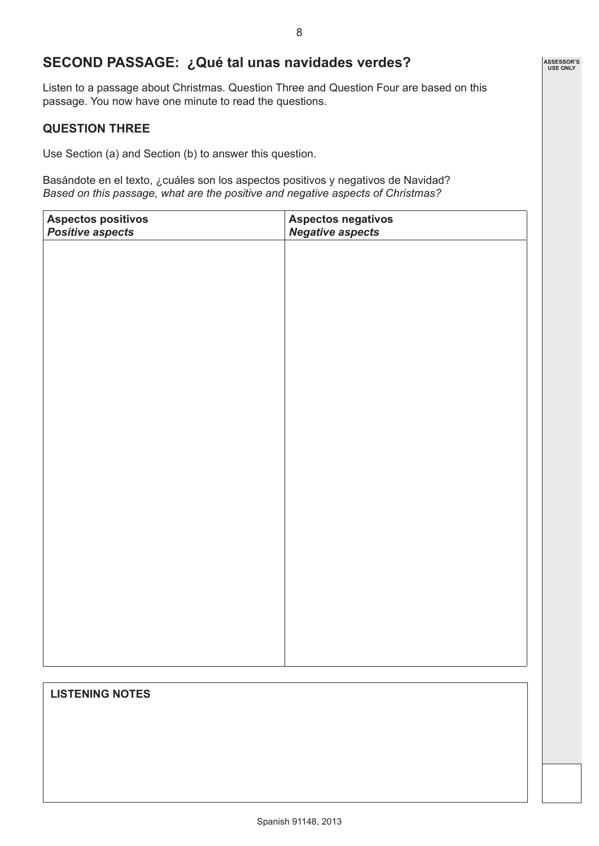# **SECOND PASSAGE: ¿Qué tal unas navidades verdes?**

Listen to a passage about Christmas. Question Three and Question Four are based on this passage. You now have one minute to read the questions.

#### **QUESTION THREE**

Use Section (a) and Section (b) to answer this question.

Basándote en el texto, ¿cuáles son los aspectos positivos y negativos de Navidad? *Based on this passage, what are the positive and negative aspects of Christmas?* 

| Aspectos positivos<br>Positive aspects | Aspectos negativos<br><b>Negative aspects</b> |
|----------------------------------------|-----------------------------------------------|
|                                        |                                               |
|                                        |                                               |
|                                        |                                               |
|                                        |                                               |
|                                        |                                               |
|                                        |                                               |
|                                        |                                               |
|                                        |                                               |
|                                        |                                               |
|                                        |                                               |
|                                        |                                               |
|                                        |                                               |
|                                        |                                               |
|                                        |                                               |
|                                        |                                               |
|                                        |                                               |
|                                        |                                               |
|                                        |                                               |

#### **LISTENING NOTES**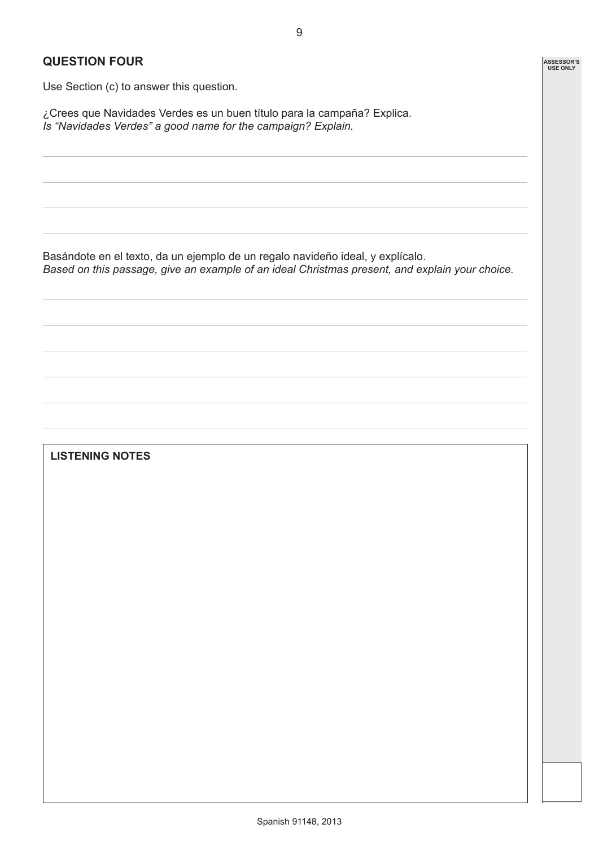**ASSESSOR'S USE ONLY**

## **QUESTION FOUR**

Use Section (c) to answer this question.

¿Crees que Navidades Verdes es un buen título para la campaña? Explica. *Is "Navidades Verdes" a good name for the campaign? Explain.*

Basándote en el texto, da un ejemplo de un regalo navideño ideal, y explícalo.

*Based on this passage, give an example of an ideal Christmas present, and explain your choice.*

#### **LISTENING NOTES**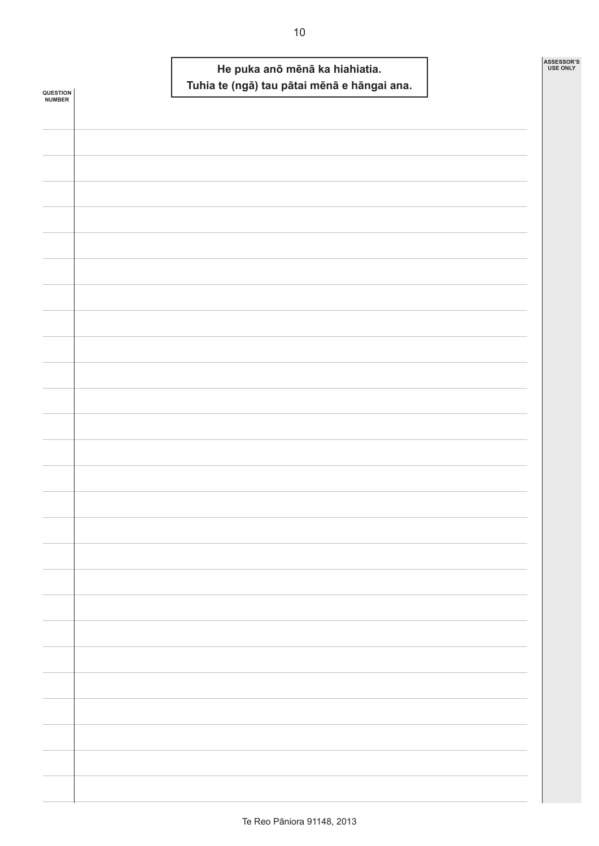|                            |  | He puka anō mēnā ka hiahiatia.<br>Tuhia te (ngā) tau pātai mēnā e hāngai ana. | ASSESSOR'S<br>USE ONLY |
|----------------------------|--|-------------------------------------------------------------------------------|------------------------|
| <b>QUESTION<br/>NUMBER</b> |  |                                                                               |                        |
|                            |  |                                                                               |                        |
|                            |  |                                                                               |                        |
|                            |  |                                                                               |                        |
|                            |  |                                                                               |                        |
|                            |  |                                                                               |                        |
|                            |  |                                                                               |                        |
|                            |  |                                                                               |                        |
|                            |  |                                                                               |                        |
|                            |  |                                                                               |                        |
|                            |  |                                                                               |                        |
|                            |  |                                                                               |                        |
|                            |  |                                                                               |                        |
|                            |  |                                                                               |                        |
|                            |  |                                                                               |                        |
|                            |  |                                                                               |                        |
|                            |  |                                                                               |                        |
|                            |  |                                                                               |                        |
|                            |  |                                                                               |                        |
|                            |  |                                                                               |                        |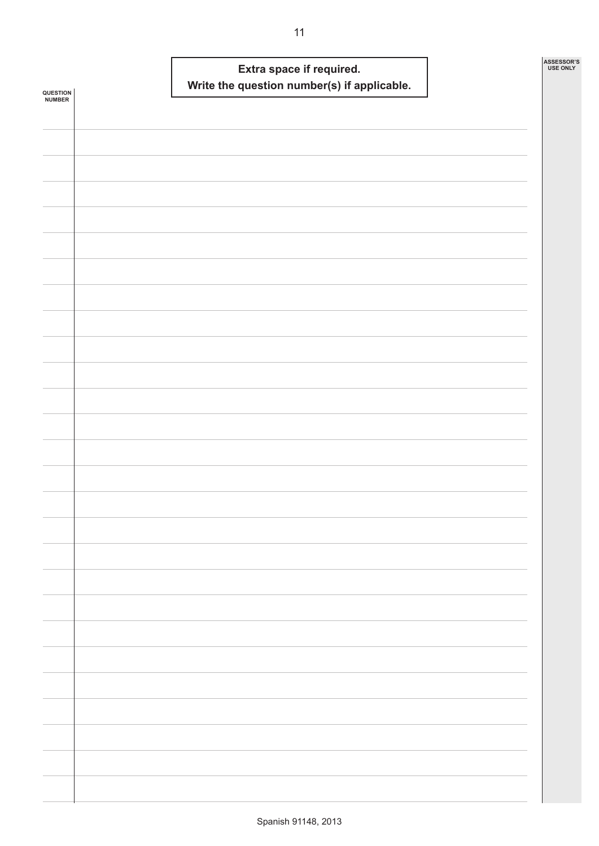|                    |  | Extra space if required. | Write the question number(s) if applicable. |  | ASSESSOR'S<br><b>USE ONLY</b> |
|--------------------|--|--------------------------|---------------------------------------------|--|-------------------------------|
| QUESTION<br>NUMBER |  |                          |                                             |  |                               |
|                    |  |                          |                                             |  |                               |
|                    |  |                          |                                             |  |                               |
|                    |  |                          |                                             |  |                               |
|                    |  |                          |                                             |  |                               |
|                    |  |                          |                                             |  |                               |
|                    |  |                          |                                             |  |                               |
|                    |  |                          |                                             |  |                               |
|                    |  |                          |                                             |  |                               |
|                    |  |                          |                                             |  |                               |
|                    |  |                          |                                             |  |                               |
|                    |  |                          |                                             |  |                               |
|                    |  |                          |                                             |  |                               |
|                    |  |                          |                                             |  |                               |
|                    |  |                          |                                             |  |                               |
|                    |  |                          |                                             |  |                               |
|                    |  |                          |                                             |  |                               |
|                    |  |                          |                                             |  |                               |
|                    |  |                          |                                             |  |                               |
|                    |  |                          |                                             |  |                               |
|                    |  |                          |                                             |  |                               |
|                    |  |                          |                                             |  |                               |
|                    |  |                          |                                             |  |                               |
|                    |  |                          |                                             |  |                               |